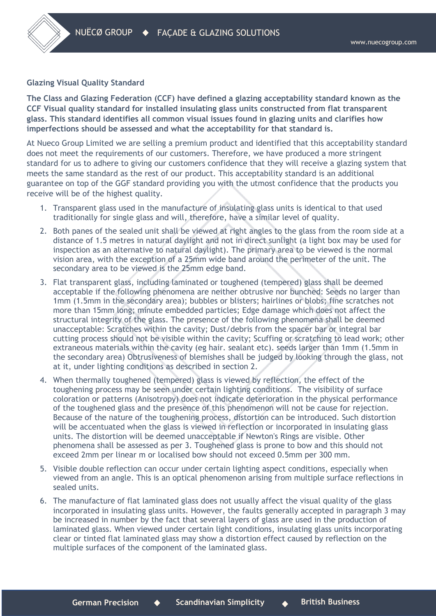## **Glazing Visual Quality Standard**

**The Class and Glazing Federation (CCF) have defined a glazing acceptability standard known as the CCF Visual quality standard for installed insulating glass units constructed from flat transparent glass. This standard identifies all common visual issues found in glazing units and clarifies how imperfections should be assessed and what the acceptability for that standard is.**

At Nueco Group Limited we are selling a premium product and identified that this acceptability standard does not meet the requirements of our customers. Therefore, we have produced a more stringent standard for us to adhere to giving our customers confidence that they will receive a glazing system that meets the same standard as the rest of our product. This acceptability standard is an additional guarantee on top of the GGF standard providing you with the utmost confidence that the products you receive will be of the highest quality.

- 1. Transparent glass used in the manufacture of insulating glass units is identical to that used traditionally for single glass and will, therefore, have a similar level of quality.
- 2. Both panes of the sealed unit shall be viewed at right angles to the glass from the room side at a distance of 1.5 metres in natural daylight and not in direct sunlight (a light box may be used for inspection as an alternative to natural daylight). The primary area to be viewed is the normal vision area, with the exception of a 25mm wide band around the perimeter of the unit. The secondary area to be viewed is the 25mm edge band.
- 3. Flat transparent glass, including laminated or toughened (tempered) glass shall be deemed acceptable if the following phenomena are neither obtrusive nor bunched: Seeds no larger than 1mm (1.5mm in the secondary area); bubbles or blisters; hairlines or blobs; fine scratches not more than 15mm long; minute embedded particles; Edge damage which does not affect the structural integrity of the glass. The presence of the following phenomena shall be deemed unacceptable: Scratches within the cavity; Dust/debris from the spacer bar or integral bar cutting process should not be visible within the cavity; Scuffing or scratching to lead work; other extraneous materials within the cavity (eg hair. sealant etc). seeds larger than 1mm (1.5mm in the secondary area) Obtrusiveness of blemishes shall be judged by looking through the glass, not at it, under lighting conditions as described in section 2.
- 4. When thermally toughened (tempered) glass is viewed by reflection, the effect of the toughening process may be seen under certain lighting conditions. The visibility of surface coloration or patterns (Anisotropy) does not indicate deterioration in the physical performance of the toughened glass and the presence of this phenomenon will not be cause for rejection. Because of the nature of the toughening process, distortion can be introduced. Such distortion will be accentuated when the glass is viewed in reflection or incorporated in insulating glass units. The distortion will be deemed unacceptable if Newton's Rings are visible. Other phenomena shall be assessed as per 3. Toughened glass is prone to bow and this should not exceed 2mm per linear m or localised bow should not exceed 0.5mm per 300 mm.
- 5. Visible double reflection can occur under certain lighting aspect conditions, especially when viewed from an angle. This is an optical phenomenon arising from multiple surface reflections in sealed units.
- 6. The manufacture of flat laminated glass does not usually affect the visual quality of the glass incorporated in insulating glass units. However, the faults generally accepted in paragraph 3 may be increased in number by the fact that several layers of glass are used in the production of laminated glass. When viewed under certain light conditions, insulating glass units incorporating clear or tinted flat laminated glass may show a distortion effect caused by reflection on the multiple surfaces of the component of the laminated glass.